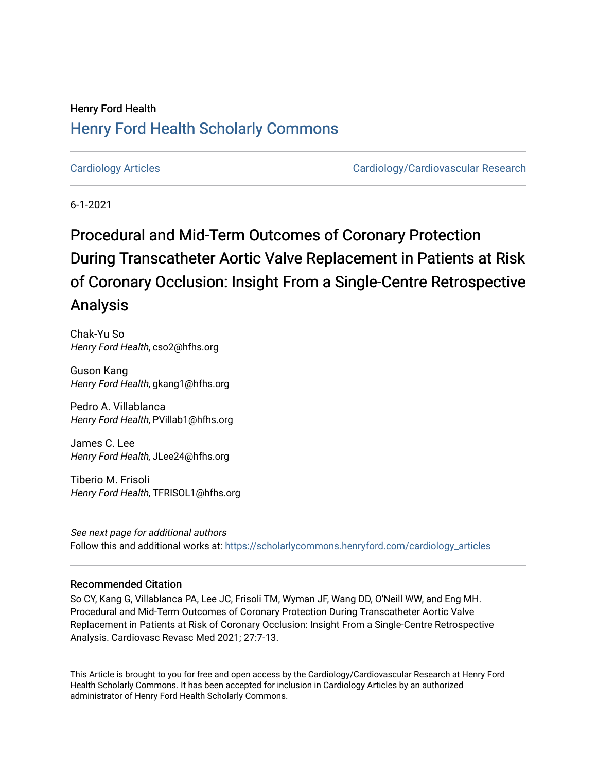## Henry Ford Health [Henry Ford Health Scholarly Commons](https://scholarlycommons.henryford.com/)

[Cardiology Articles](https://scholarlycommons.henryford.com/cardiology_articles) [Cardiology/Cardiovascular Research](https://scholarlycommons.henryford.com/cardiology) 

6-1-2021

# Procedural and Mid-Term Outcomes of Coronary Protection During Transcatheter Aortic Valve Replacement in Patients at Risk of Coronary Occlusion: Insight From a Single-Centre Retrospective Analysis

Chak-Yu So Henry Ford Health, cso2@hfhs.org

Guson Kang Henry Ford Health, gkang1@hfhs.org

Pedro A. Villablanca Henry Ford Health, PVillab1@hfhs.org

James C. Lee Henry Ford Health, JLee24@hfhs.org

Tiberio M. Frisoli Henry Ford Health, TFRISOL1@hfhs.org

See next page for additional authors Follow this and additional works at: [https://scholarlycommons.henryford.com/cardiology\\_articles](https://scholarlycommons.henryford.com/cardiology_articles?utm_source=scholarlycommons.henryford.com%2Fcardiology_articles%2F771&utm_medium=PDF&utm_campaign=PDFCoverPages)

### Recommended Citation

So CY, Kang G, Villablanca PA, Lee JC, Frisoli TM, Wyman JF, Wang DD, O'Neill WW, and Eng MH. Procedural and Mid-Term Outcomes of Coronary Protection During Transcatheter Aortic Valve Replacement in Patients at Risk of Coronary Occlusion: Insight From a Single-Centre Retrospective Analysis. Cardiovasc Revasc Med 2021; 27:7-13.

This Article is brought to you for free and open access by the Cardiology/Cardiovascular Research at Henry Ford Health Scholarly Commons. It has been accepted for inclusion in Cardiology Articles by an authorized administrator of Henry Ford Health Scholarly Commons.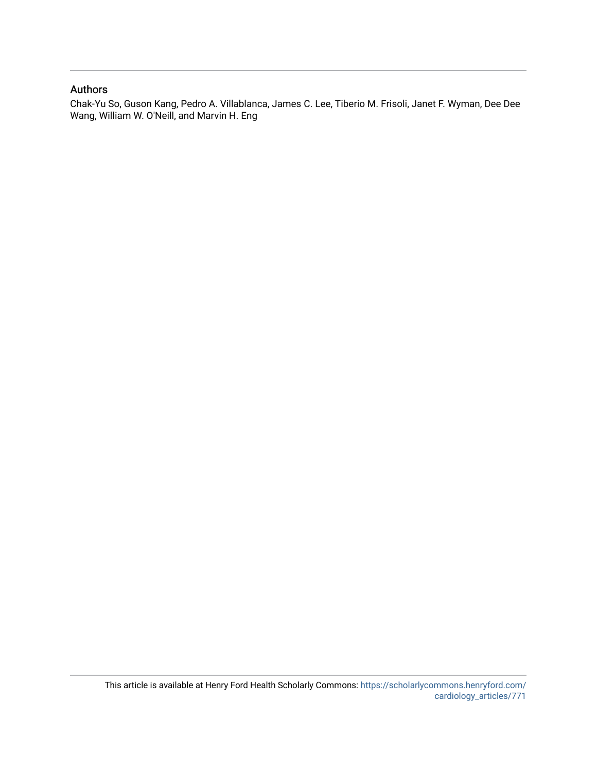### Authors

Chak-Yu So, Guson Kang, Pedro A. Villablanca, James C. Lee, Tiberio M. Frisoli, Janet F. Wyman, Dee Dee Wang, William W. O'Neill, and Marvin H. Eng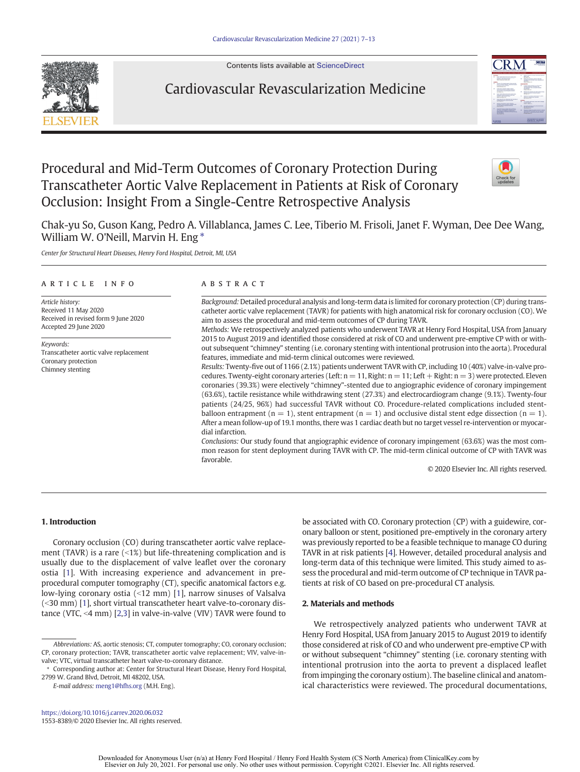Contents lists available at [ScienceDirect](http://www.sciencedirect.com/science/journal/15538389)



### Cardiovascular Revascularization Medicine



## Procedural and Mid-Term Outcomes of Coronary Protection During Transcatheter Aortic Valve Replacement in Patients at Risk of Coronary Occlusion: Insight From a Single-Centre Retrospective Analysis



Chak-yu So, Guson Kang, Pedro A. Villablanca, James C. Lee, Tiberio M. Frisoli, Janet F. Wyman, Dee Dee Wang, William W. O'Neill, Marvin H. Eng<sup>\*</sup>

Center for Structural Heart Diseases, Henry Ford Hospital, Detroit, MI, USA

#### article info abstract

Article history: Received 11 May 2020 Received in revised form 9 June 2020 Accepted 29 June 2020

Keywords: Transcatheter aortic valve replacement Coronary protection Chimney stenting

Background: Detailed procedural analysis and long-term data is limited for coronary protection (CP) during transcatheter aortic valve replacement (TAVR) for patients with high anatomical risk for coronary occlusion (CO). We aim to assess the procedural and mid-term outcomes of CP during TAVR.

Methods: We retrospectively analyzed patients who underwent TAVR at Henry Ford Hospital, USA from January 2015 to August 2019 and identified those considered at risk of CO and underwent pre-emptive CP with or without subsequent "chimney" stenting (i.e. coronary stenting with intentional protrusion into the aorta). Procedural features, immediate and mid-term clinical outcomes were reviewed.

Results: Twenty-five out of 1166 (2.1%) patients underwent TAVR with CP, including 10 (40%) valve-in-valve procedures. Twenty-eight coronary arteries (Left:  $n = 11$ , Right:  $n = 11$ ; Left + Right:  $n = 3$ ) were protected. Eleven coronaries (39.3%) were electively "chimney"-stented due to angiographic evidence of coronary impingement (63.6%), tactile resistance while withdrawing stent (27.3%) and electrocardiogram change (9.1%). Twenty-four patients (24/25, 96%) had successful TAVR without CO. Procedure-related complications included stentballoon entrapment ( $n = 1$ ), stent entrapment ( $n = 1$ ) and occlusive distal stent edge dissection ( $n = 1$ ). After a mean follow-up of 19.1 months, there was 1 cardiac death but no target vessel re-intervention or myocardial infarction.

Conclusions: Our study found that angiographic evidence of coronary impingement (63.6%) was the most common reason for stent deployment during TAVR with CP. The mid-term clinical outcome of CP with TAVR was favorable.

© 2020 Elsevier Inc. All rights reserved.

#### 1. Introduction

Coronary occlusion (CO) during transcatheter aortic valve replacement (TAVR) is a rare  $($  <1%) but life-threatening complication and is usually due to the displacement of valve leaflet over the coronary ostia [[1](#page-8-0)]. With increasing experience and advancement in preprocedural computer tomography (CT), specific anatomical factors e.g. low-lying coronary ostia  $($  <12 mm) [\[1\]](#page-8-0), narrow sinuses of Valsalva  $\left($  <30 mm) [[1](#page-8-0)], short virtual transcatheter heart valve-to-coronary distance (VTC,  $\leq$ 4 mm) [\[2,3\]](#page-8-0) in valve-in-valve (VIV) TAVR were found to

E-mail address: [meng1@hfhs.org](mailto:meng1@hfhs.org) (M.H. Eng).

be associated with CO. Coronary protection (CP) with a guidewire, coronary balloon or stent, positioned pre-emptively in the coronary artery was previously reported to be a feasible technique to manage CO during TAVR in at risk patients [[4](#page-8-0)]. However, detailed procedural analysis and long-term data of this technique were limited. This study aimed to assess the procedural and mid-term outcome of CP technique in TAVR patients at risk of CO based on pre-procedural CT analysis.

#### 2. Materials and methods

We retrospectively analyzed patients who underwent TAVR at Henry Ford Hospital, USA from January 2015 to August 2019 to identify those considered at risk of CO and who underwent pre-emptive CP with or without subsequent "chimney" stenting (i.e. coronary stenting with intentional protrusion into the aorta to prevent a displaced leaflet from impinging the coronary ostium). The baseline clinical and anatomical characteristics were reviewed. The procedural documentations,

<https://doi.org/10.1016/j.carrev.2020.06.032> 1553-8389/© 2020 Elsevier Inc. All rights reserved.

> Downloaded for Anonymous User (n/a) at Henry Ford Hospital / Henry Ford Health System (CS North America) from ClinicalKey.com by Elsevier on July 20, 2021. For personal use only. No other uses without permission. Copyright ©2021. Elsevier Inc. All rights reserved.

Abbreviations: AS, aortic stenosis; CT, computer tomography; CO, coronary occlusion; CP, coronary protection; TAVR, transcatheter aortic valve replacement; VIV, valve-invalve; VTC, virtual transcatheter heart valve-to-coronary distance.

<sup>⁎</sup> Corresponding author at: Center for Structural Heart Disease, Henry Ford Hospital, 2799 W. Grand Blvd, Detroit, MI 48202, USA.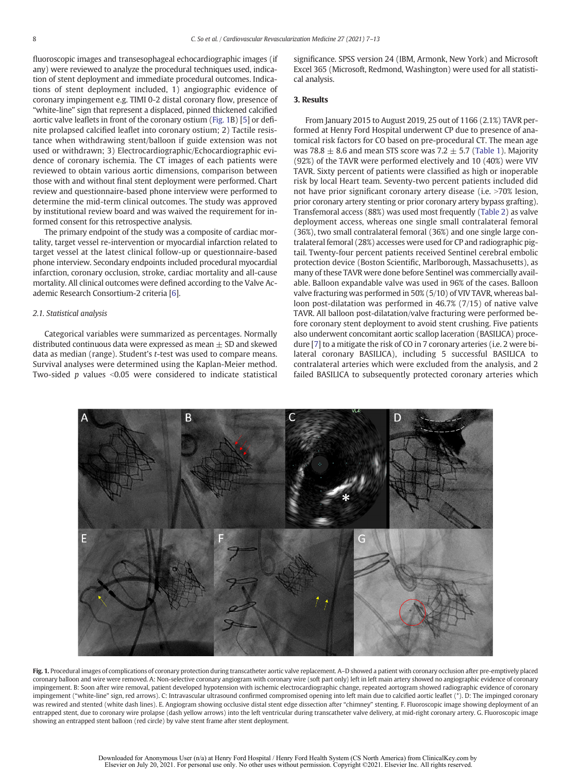<span id="page-3-0"></span>fluoroscopic images and transesophageal echocardiographic images (if any) were reviewed to analyze the procedural techniques used, indication of stent deployment and immediate procedural outcomes. Indications of stent deployment included, 1) angiographic evidence of coronary impingement e.g. TIMI 0-2 distal coronary flow, presence of "white-line" sign that represent a displaced, pinned thickened calcified aortic valve leaflets in front of the coronary ostium (Fig. 1B) [\[5\]](#page-8-0) or definite prolapsed calcified leaflet into coronary ostium; 2) Tactile resistance when withdrawing stent/balloon if guide extension was not used or withdrawn; 3) Electrocardiographic/Echocardiographic evidence of coronary ischemia. The CT images of each patients were reviewed to obtain various aortic dimensions, comparison between those with and without final stent deployment were performed. Chart review and questionnaire-based phone interview were performed to determine the mid-term clinical outcomes. The study was approved by institutional review board and was waived the requirement for informed consent for this retrospective analysis.

The primary endpoint of the study was a composite of cardiac mortality, target vessel re-intervention or myocardial infarction related to target vessel at the latest clinical follow-up or questionnaire-based phone interview. Secondary endpoints included procedural myocardial infarction, coronary occlusion, stroke, cardiac mortality and all-cause mortality. All clinical outcomes were defined according to the Valve Academic Research Consortium-2 criteria [\[6\]](#page-8-0).

#### 2.1. Statistical analysis

Categorical variables were summarized as percentages. Normally distributed continuous data were expressed as mean  $\pm$  SD and skewed data as median (range). Student's t-test was used to compare means. Survival analyses were determined using the Kaplan-Meier method. Two-sided  $p$  values <0.05 were considered to indicate statistical significance. SPSS version 24 (IBM, Armonk, New York) and Microsoft Excel 365 (Microsoft, Redmond, Washington) were used for all statistical analysis.

#### 3. Results

From January 2015 to August 2019, 25 out of 1166 (2.1%) TAVR performed at Henry Ford Hospital underwent CP due to presence of anatomical risk factors for CO based on pre-procedural CT. The mean age was 78.8  $\pm$  8.6 and mean STS score was 7.2  $\pm$  5.7 [\(Table 1](#page-4-0)). Majority (92%) of the TAVR were performed electively and 10 (40%) were VIV TAVR. Sixty percent of patients were classified as high or inoperable risk by local Heart team. Seventy-two percent patients included did not have prior significant coronary artery disease (i.e. >70% lesion, prior coronary artery stenting or prior coronary artery bypass grafting). Transfemoral access (88%) was used most frequently ([Table 2](#page-4-0)) as valve deployment access, whereas one single small contralateral femoral (36%), two small contralateral femoral (36%) and one single large contralateral femoral (28%) accesses were used for CP and radiographic pigtail. Twenty-four percent patients received Sentinel cerebral embolic protection device (Boston Scientific, Marlborough, Massachusetts), as many of these TAVR were done before Sentinel was commercially available. Balloon expandable valve was used in 96% of the cases. Balloon valve fracturing was performed in 50% (5/10) of VIV TAVR, whereas balloon post-dilatation was performed in 46.7% (7/15) of native valve TAVR. All balloon post-dilatation/valve fracturing were performed before coronary stent deployment to avoid stent crushing. Five patients also underwent concomitant aortic scallop laceration (BASILICA) procedure [[7](#page-8-0)] to a mitigate the risk of CO in 7 coronary arteries (i.e. 2 were bilateral coronary BASILICA), including 5 successful BASILICA to contralateral arteries which were excluded from the analysis, and 2 failed BASILICA to subsequently protected coronary arteries which



Fig. 1. Procedural images of complications of coronary protection during transcatheter aortic valve replacement. A-D showed a patient with coronary occlusion after pre-emptively placed coronary balloon and wire were removed. A: Non-selective coronary angiogram with coronary wire (soft part only) left in left main artery showed no angiographic evidence of coronary impingement. B: Soon after wire removal, patient developed hypotension with ischemic electrocardiographic change, repeated aortogram showed radiographic evidence of coronary impingement ("white-line" sign, red arrows). C: Intravascular ultrasound confirmed compromised opening into left main due to calcified aortic leaflet (\*). D: The impinged coronary was rewired and stented (white dash lines). E. Angiogram showing occlusive distal stent edge dissection after "chimney" stenting. F. Fluoroscopic image showing deployment of an entrapped stent, due to coronary wire prolapse (dash yellow arrows) into the left ventricular during transcatheter valve delivery, at mid-right coronary artery. G. Fluoroscopic image showing an entrapped stent balloon (red circle) by valve stent frame after stent deployment.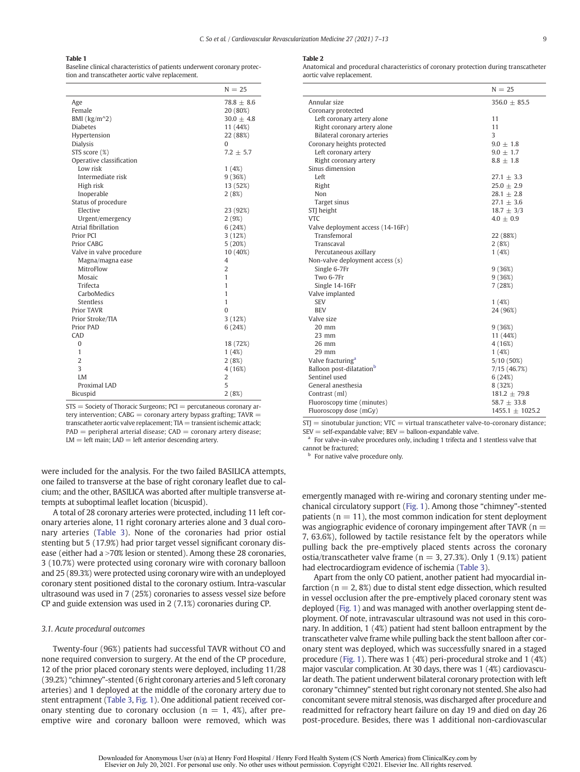#### <span id="page-4-0"></span>Table 1

Baseline clinical characteristics of patients underwent coronary protection and transcatheter aortic valve replacement.

|                          | $N = 25$       |
|--------------------------|----------------|
| Age                      | $78.8 + 8.6$   |
| Female                   | 20 (80%)       |
| BMI ( $\text{kg/m}^2$ )  | $30.0 \pm 4.8$ |
| <b>Diabetes</b>          | 11 (44%)       |
| Hypertension             | 22 (88%)       |
| <b>Dialysis</b>          | 0              |
| STS score (%)            | $7.2 + 5.7$    |
| Operative classification |                |
| Low risk                 | 1(4%)          |
| Intermediate risk        | 9(36%)         |
| High risk                | 13 (52%)       |
| Inoperable               | 2(8%)          |
| Status of procedure      |                |
| Elective                 | 23 (92%)       |
| Urgent/emergency         | 2(9%)          |
| Atrial fibrillation      | 6(24%)         |
| Prior PCI                | 3(12%)         |
| Prior CABG               | 5(20%)         |
| Valve in valve procedure | 10 (40%)       |
| Magna/magna ease         | 4              |
| MitroFlow                | $\overline{2}$ |
| Mosaic                   | 1              |
| Trifecta                 | 1              |
| CarboMedics              | 1              |
| Stentless                | 1              |
| <b>Prior TAVR</b>        | $\Omega$       |
| Prior Stroke/TIA         | 3(12%)         |
| Prior PAD                | 6(24%)         |
| CAD                      |                |
| $\Omega$                 | 18 (72%)       |
| 1                        | 1(4%)          |
| $\overline{2}$           | 2(8%)          |
| 3                        | 4 (16%)        |
| I.M                      | 2              |
| Proximal LAD             | 5              |
| <b>Bicuspid</b>          | 2(8%)          |

STS = Society of Thoracic Surgeons; PCI = percutaneous coronary artery intervention:  $CABG =$  coronary artery bypass grafting:  $TAVR =$ transcatheter aortic valve replacement; TIA = transient ischemic attack;  $PAD =$  peripheral arterial disease;  $CAD =$  coronary artery disease;  $LM = left$  main;  $LAD = left$  anterior descending artery.

were included for the analysis. For the two failed BASILICA attempts, one failed to transverse at the base of right coronary leaflet due to calcium; and the other, BASILICA was aborted after multiple transverse attempts at suboptimal leaflet location (bicuspid).

A total of 28 coronary arteries were protected, including 11 left coronary arteries alone, 11 right coronary arteries alone and 3 dual coronary arteries ([Table 3](#page-5-0)). None of the coronaries had prior ostial stenting but 5 (17.9%) had prior target vessel significant coronary disease (either had a >70% lesion or stented). Among these 28 coronaries, 3 (10.7%) were protected using coronary wire with coronary balloon and 25 (89.3%) were protected using coronary wire with an undeployed coronary stent positioned distal to the coronary ostium. Intra-vascular ultrasound was used in 7 (25%) coronaries to assess vessel size before CP and guide extension was used in 2 (7.1%) coronaries during CP.

#### 3.1. Acute procedural outcomes

Twenty-four (96%) patients had successful TAVR without CO and none required conversion to surgery. At the end of the CP procedure, 12 of the prior placed coronary stents were deployed, including 11/28 (39.2%) "chimney"-stented (6 right coronary arteries and 5 left coronary arteries) and 1 deployed at the middle of the coronary artery due to stent entrapment [\(Table 3,](#page-5-0) [Fig. 1](#page-3-0)). One additional patient received coronary stenting due to coronary occlusion ( $n = 1, 4\%)$ , after preemptive wire and coronary balloon were removed, which was

#### Table 2

Anatomical and procedural characteristics of coronary protection during transcatheter aortic valve replacement.

|                                      | $N = 25$            |
|--------------------------------------|---------------------|
| Annular size                         | $356.0 + 85.5$      |
| Coronary protected                   |                     |
| Left coronary artery alone           | 11                  |
| Right coronary artery alone          | 11                  |
| Bilateral coronary arteries          | 3                   |
| Coronary heights protected           | $9.0 \pm 1.8$       |
| Left coronary artery                 | $9.0 \pm 1.7$       |
| Right coronary artery                | $8.8 \pm 1.8$       |
| Sinus dimension                      |                     |
| Left                                 | $27.1 \pm 3.3$      |
| Right                                | $25.0 \pm 2.9$      |
| Non                                  | $28.1 \pm 2.8$      |
| Target sinus                         | $27.1 \pm 3.6$      |
| STJ height                           | $18.7 \pm 3/3$      |
| <b>VTC</b>                           | $4.0 \pm 0.9$       |
| Valve deployment access (14-16Fr)    |                     |
| Transfemoral                         | 22 (88%)            |
| Transcaval                           | 2(8%)               |
| Percutaneous axillary                | 1(4%)               |
| Non-valve deployment access (s)      |                     |
| Single 6-7Fr                         | 9(36%)              |
| Two 6-7Fr                            | 9(36%)              |
| Single 14-16Fr                       | 7(28%)              |
| Valve implanted                      |                     |
| <b>SEV</b>                           | 1(4%)               |
| <b>BEV</b>                           | 24 (96%)            |
| Valve size                           |                     |
| $20 \text{ mm}$                      | 9(36%)              |
| 23 mm                                | 11 (44%)            |
| $26$ mm                              | 4 (16%)             |
| 29 mm                                | 1(4%)               |
| Valve fracturing <sup>a</sup>        | 5/10 (50%)          |
| Balloon post-dilatation <sup>b</sup> | 7/15 (46.7%)        |
| Sentinel used                        | 6(24%)              |
| General anesthesia                   | 8 (32%)             |
| Contrast (ml)                        | $181.2 \pm 79.8$    |
| Fluoroscopy time (minutes)           | 58.7 $\pm$ 33.8     |
| Fluoroscopy dose (mGy)               | $1455.1 \pm 1025.2$ |

 $STJ =$  sinotubular junction;  $VTC =$  virtual transcatheter valve-to-coronary distance;  $SEV = self-expandable value; BEV = balloon-expandable value.$ 

<sup>a</sup> For valve-in-valve procedures only, including 1 trifecta and 1 stentless valve that cannot be fractured;

**b** For native valve procedure only.

emergently managed with re-wiring and coronary stenting under mechanical circulatory support [\(Fig. 1](#page-3-0)). Among those "chimney"-stented patients ( $n = 11$ ), the most common indication for stent deployment was angiographic evidence of coronary impingement after TAVR ( $n =$ 7, 63.6%), followed by tactile resistance felt by the operators while pulling back the pre-emptively placed stents across the coronary ostia/transcatheter valve frame ( $n = 3, 27.3\%$ ). Only 1 (9.1%) patient had electrocardiogram evidence of ischemia [\(Table 3\)](#page-5-0).

Apart from the only CO patient, another patient had myocardial infarction ( $n = 2, 8\%)$  due to distal stent edge dissection, which resulted in vessel occlusion after the pre-emptively placed coronary stent was deployed ([Fig. 1\)](#page-3-0) and was managed with another overlapping stent deployment. Of note, intravascular ultrasound was not used in this coronary. In addition, 1 (4%) patient had stent balloon entrapment by the transcatheter valve frame while pulling back the stent balloon after coronary stent was deployed, which was successfully snared in a staged procedure [\(Fig. 1\)](#page-3-0). There was 1 (4%) peri-procedural stroke and 1 (4%) major vascular complication. At 30 days, there was 1 (4%) cardiovascular death. The patient underwent bilateral coronary protection with left coronary "chimney" stented but right coronary not stented. She also had concomitant severe mitral stenosis, was discharged after procedure and readmitted for refractory heart failure on day 19 and died on day 26 post-procedure. Besides, there was 1 additional non-cardiovascular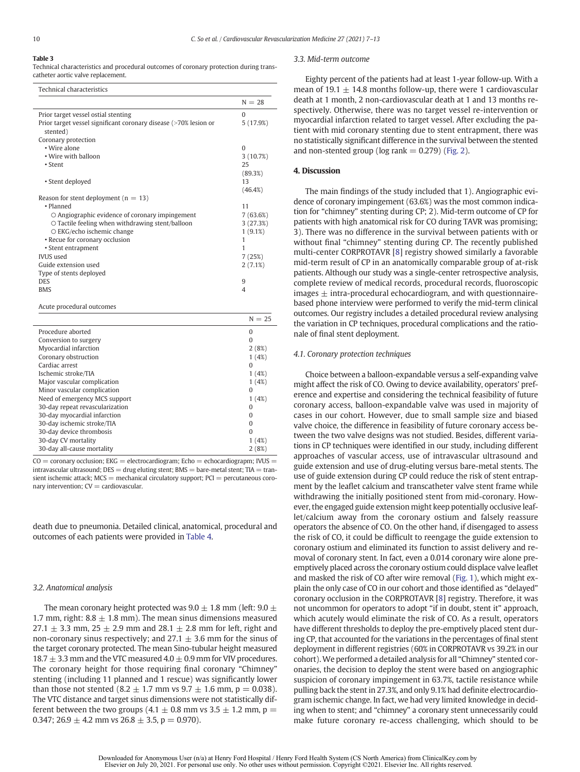#### <span id="page-5-0"></span>Table 3

Technical characteristics and procedural outcomes of coronary protection during transcatheter aortic valve replacement.

| Technical characteristics                                        |           |
|------------------------------------------------------------------|-----------|
|                                                                  | $N = 28$  |
| Prior target vessel ostial stenting                              | $\Omega$  |
| Prior target vessel significant coronary disease (>70% lesion or | 5 (17.9%) |
| stented)                                                         |           |
| Coronary protection                                              |           |
| • Wire alone                                                     | $\Omega$  |
| • Wire with balloon                                              | 3(10.7%)  |
| $\cdot$ Stent                                                    | 25        |
|                                                                  | (89.3%)   |
| • Stent deployed                                                 | 13        |
|                                                                  | (46.4%)   |
| Reason for stent deployment ( $n = 13$ )<br>· Planned            | 11        |
| O Angiographic evidence of coronary impingement                  | 7(63.6%)  |
| O Tactile feeling when withdrawing stent/balloon                 | 3 (27.3%) |
| $\circ$ EKG/echo ischemic change                                 | 1(9.1%)   |
| • Recue for coronary occlusion                                   | 1         |
| • Stent entrapment                                               | 1         |
| <b>IVUS</b> used                                                 | 7(25%)    |
| Guide extension used                                             | 2(7.1%)   |
| Type of stents deployed                                          |           |
| <b>DES</b>                                                       | 9         |
| <b>BMS</b>                                                       | 4         |
| Acute procedural outcomes                                        |           |
|                                                                  | $N = 25$  |
| Procedure aborted                                                | $\Omega$  |
| Conversion to surgery                                            | $\Omega$  |
| Myocardial infarction                                            | 2(8%)     |
| Coronary obstruction                                             | 1(4%)     |
| Cardiac arrest                                                   | $\Omega$  |
| Ischemic stroke/TIA                                              | 1(4%)     |
| Major vascular complication                                      | 1(4%)     |
| Minor vascular complication                                      | $\Omega$  |
| Nood of amergancy MCC cupport                                    | 1(19)     |

| Need of emergency MCS support                                                                                                                                                                                                                                                                                         | 4%       |
|-----------------------------------------------------------------------------------------------------------------------------------------------------------------------------------------------------------------------------------------------------------------------------------------------------------------------|----------|
| 30-day repeat revascularization                                                                                                                                                                                                                                                                                       | 0        |
| 30-day myocardial infarction                                                                                                                                                                                                                                                                                          | 0        |
| 30-day ischemic stroke/TIA                                                                                                                                                                                                                                                                                            | $\Omega$ |
| 30-day device thrombosis                                                                                                                                                                                                                                                                                              | 0        |
| 30-day CV mortality                                                                                                                                                                                                                                                                                                   | 1(4%)    |
| 30-day all-cause mortality                                                                                                                                                                                                                                                                                            | 2(8%)    |
| $\mathbf{1}$ , $\mathbf{1}$ , $\mathbf{1}$ , $\mathbf{1}$ , $\mathbf{1}$ , $\mathbf{1}$ , $\mathbf{1}$ , $\mathbf{1}$ , $\mathbf{1}$ , $\mathbf{1}$ , $\mathbf{1}$ , $\mathbf{1}$ , $\mathbf{1}$ , $\mathbf{1}$ , $\mathbf{1}$ , $\mathbf{1}$ , $\mathbf{1}$ , $\mathbf{1}$ , $\mathbf{1}$ , $\mathbf{1}$ ,<br>$\sim$ |          |

 $CO =$  coronary occlusion; EKG = electrocardiogram; Echo = echocardiograpm; IVUS = intravascular ultrasound;  $DES = drug$  eluting stent;  $BMS = bare$ -metal stent;  $TIA = tran$ sient ischemic attack;  $MCS$  = mechanical circulatory support;  $PCI$  = percutaneous coronary intervention;  $CV =$  cardiovascular.

death due to pneumonia. Detailed clinical, anatomical, procedural and outcomes of each patients were provided in [Table 4](#page-6-0).

#### 3.2. Anatomical analysis

The mean coronary height protected was 9.0  $\pm$  1.8 mm (left: 9.0  $\pm$ 1.7 mm, right: 8.8  $\pm$  1.8 mm). The mean sinus dimensions measured 27.1  $\pm$  3.3 mm, 25  $\pm$  2.9 mm and 28.1  $\pm$  2.8 mm for left, right and non-coronary sinus respectively; and  $27.1 \pm 3.6$  mm for the sinus of the target coronary protected. The mean Sino-tubular height measured 18.7  $\pm$  3.3 mm and the VTC measured 4.0  $\pm$  0.9 mm for VIV procedures. The coronary height for those requiring final coronary "Chimney" stenting (including 11 planned and 1 rescue) was significantly lower than those not stented (8.2  $\pm$  1.7 mm vs 9.7  $\pm$  1.6 mm, p = 0.038). The VTC distance and target sinus dimensions were not statistically different between the two groups (4.1  $\pm$  0.8 mm vs 3.5  $\pm$  1.2 mm, p = 0.347; 26.9  $\pm$  4.2 mm vs 26.8  $\pm$  3.5, p = 0.970).

#### 3.3. Mid-term outcome

Eighty percent of the patients had at least 1-year follow-up. With a mean of 19.1  $\pm$  14.8 months follow-up, there were 1 cardiovascular death at 1 month, 2 non-cardiovascular death at 1 and 13 months respectively. Otherwise, there was no target vessel re-intervention or myocardial infarction related to target vessel. After excluding the patient with mid coronary stenting due to stent entrapment, there was no statistically significant difference in the survival between the stented and non-stented group ( $log$  rank = 0.279) ([Fig. 2](#page-7-0)).

#### 4. Discussion

The main findings of the study included that 1). Angiographic evidence of coronary impingement (63.6%) was the most common indication for "chimney" stenting during CP; 2). Mid-term outcome of CP for patients with high anatomical risk for CO during TAVR was promising; 3). There was no difference in the survival between patients with or without final "chimney" stenting during CP. The recently published multi-center CORPROTAVR [\[8\]](#page-8-0) registry showed similarly a favorable mid-term result of CP in an anatomically comparable group of at-risk patients. Although our study was a single-center retrospective analysis, complete review of medical records, procedural records, fluoroscopic images  $\pm$  intra-procedural echocardiogram, and with questionnairebased phone interview were performed to verify the mid-term clinical outcomes. Our registry includes a detailed procedural review analysing the variation in CP techniques, procedural complications and the rationale of final stent deployment.

#### 4.1. Coronary protection techniques

Choice between a balloon-expandable versus a self-expanding valve might affect the risk of CO. Owing to device availability, operators' preference and expertise and considering the technical feasibility of future coronary access, balloon-expandable valve was used in majority of cases in our cohort. However, due to small sample size and biased valve choice, the difference in feasibility of future coronary access between the two valve designs was not studied. Besides, different variations in CP techniques were identified in our study, including different approaches of vascular access, use of intravascular ultrasound and guide extension and use of drug-eluting versus bare-metal stents. The use of guide extension during CP could reduce the risk of stent entrapment by the leaflet calcium and transcatheter valve stent frame while withdrawing the initially positioned stent from mid-coronary. However, the engaged guide extension might keep potentially occlusive leaflet/calcium away from the coronary ostium and falsely reassure operators the absence of CO. On the other hand, if disengaged to assess the risk of CO, it could be difficult to reengage the guide extension to coronary ostium and eliminated its function to assist delivery and removal of coronary stent. In fact, even a 0.014 coronary wire alone preemptively placed across the coronary ostium could displace valve leaflet and masked the risk of CO after wire removal [\(Fig. 1\)](#page-3-0), which might explain the only case of CO in our cohort and those identified as "delayed" coronary occlusion in the CORPROTAVR [[8](#page-8-0)] registry. Therefore, it was not uncommon for operators to adopt "if in doubt, stent it" approach, which acutely would eliminate the risk of CO. As a result, operators have different thresholds to deploy the pre-emptively placed stent during CP, that accounted for the variations in the percentages of final stent deployment in different registries (60% in CORPROTAVR vs 39.2% in our cohort).We performed a detailed analysis for all "Chimney" stented coronaries, the decision to deploy the stent were based on angiographic suspicion of coronary impingement in 63.7%, tactile resistance while pulling back the stent in 27.3%, and only 9.1% had definite electrocardiogram ischemic change. In fact, we had very limited knowledge in deciding when to stent; and "chimney" a coronary stent unnecessarily could make future coronary re-access challenging, which should to be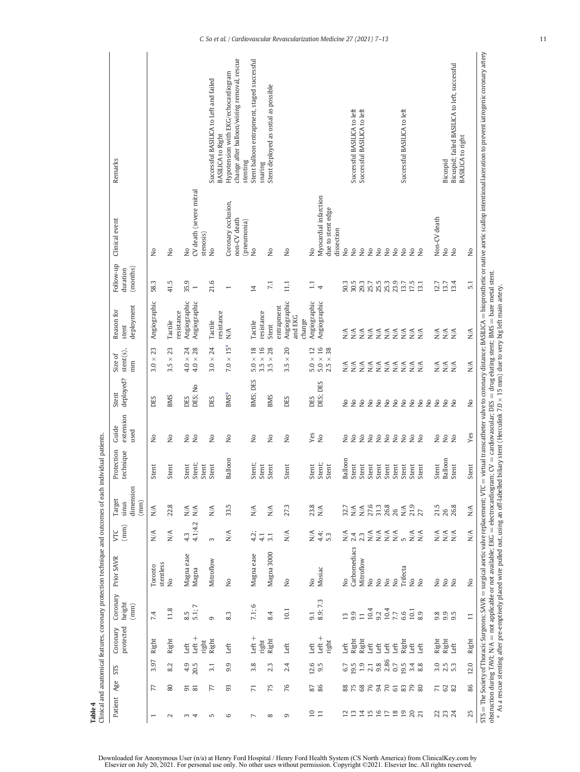<span id="page-6-0"></span>

| Remarks                              |                       |                              |            |                                                    |                                      | Successful BASILICA to Left and failed | Hypotension with EKG/echocardiogram<br><b>BASILICA to Right</b> | change after balloon/wiring removal, rescue | Stent balloon entrapment, staged successful<br>stenting | snaring           | Stent deployed as ostial as possible |                                       |        |                                |                       |                                 |               | Successful BASILICA to left | Successful BASILICA to left       |                                                                                        |                       |                                                         |                            | Successful BASILICA to left         |                                                                    |             |               | Bicuspid                                          | Bicuspid; failed BASILICA to left, successful | <b>BASILICA to right</b> | = virtual transcatheter valve to coronary distance; BASILICA = bioprosthetic or native aortic scallop intentional laceration to prevent iatrogenic coronary artery |
|--------------------------------------|-----------------------|------------------------------|------------|----------------------------------------------------|--------------------------------------|----------------------------------------|-----------------------------------------------------------------|---------------------------------------------|---------------------------------------------------------|-------------------|--------------------------------------|---------------------------------------|--------|--------------------------------|-----------------------|---------------------------------|---------------|-----------------------------|-----------------------------------|----------------------------------------------------------------------------------------|-----------------------|---------------------------------------------------------|----------------------------|-------------------------------------|--------------------------------------------------------------------|-------------|---------------|---------------------------------------------------|-----------------------------------------------|--------------------------|--------------------------------------------------------------------------------------------------------------------------------------------------------------------|
| Clinical event                       | $\frac{1}{2}$         | å                            |            | 2                                                  | CV death (severe mitral<br>stenosis) | Ş                                      | Coronary occlusion,                                             | non-CV death                                | (pneumonia)<br>$\tilde{z}$                              |                   | Ş                                    | δ                                     |        | $\frac{1}{2}$                  | Myocardial infarction | due to stent edge<br>dissection | $\frac{1}{2}$ | $\tilde{z}$                 | $\tilde{z}$                       | $\tilde{z}$                                                                            | $\epsilon$            | $\tilde{z}$                                             | $\tilde{z}$                | $\tilde{z}$                         | $\tilde{z}$<br><sub>2</sub>                                        |             | Non-CV death  | $\tilde{z}$                                       | $\tilde{z}$                                   |                          | $\frac{1}{2}$                                                                                                                                                      |
| Follow-up<br>(months)<br>duration    | 58.3                  | 41.5                         |            | 35.9                                               |                                      | 21.6                                   | $\overline{\phantom{0}}$                                        |                                             | $\overline{4}$                                          |                   | $\overline{z}$                       | $\Xi$                                 |        | $\frac{1}{4}$                  |                       |                                 | 503           | 30.5                        | 293                               | 25.7                                                                                   | 25.5                  | 25.3                                                    | 23.9                       | 13.7                                | 17.5<br>13.1                                                       |             | 12.7          | 13.7                                              | 13.4                                          |                          | 5.1                                                                                                                                                                |
| deployment<br>Reason for<br>stent    | Angiographic          | Tactile                      | resistance | Angiographic                                       | Angiographic                         | Tactile                                | resistance<br>$\mathbb{N}$                                      |                                             | Tactile                                                 | resistance        | Stent                                | Angiographic<br>entrapment<br>and EKG | change | Angiographic                   | Angiographic          |                                 | $\frac{1}{2}$ | $\lesssim$                  |                                   | $\begin{array}{c}\n\xi \leq \xi \leq \xi \\ \sum \sum \sum \sum \sum \leq \end{array}$ |                       |                                                         |                            | $\mathbb{N}\mathbb{A}$              | $rac{\mathbf{x}}{\mathbf{z}}$                                      |             |               | $\mathop{\rm S}_{\Sigma}^{\prec}$                 | $\sum_{i=1}^{n}$                              |                          | N/A                                                                                                                                                                |
| $stent(s)$ ,<br>Size of<br>mm        | 23<br>$\times$<br>3.0 | 23<br>$3.5 \times 1$         |            | 24<br>$4.0 \times$                                 | $4.0\times28$                        | 24<br>$3.0 \times$                     | $7.0 \times 15^{a}$                                             |                                             | $5.0\times18$                                           | $3.5\times16$     | $\times$ 28<br>3.5                   | 20<br>$\times$<br>3.5                 |        | $5.0 \times 12$                | $5.0\times16$         | $2.5\times38$                   | N/A           | $\mathbb{N}\mathbb{A}$      |                                   | $N^{\mathcal{A}}_{N}$                                                                  |                       | $\frac{4}{5}$ $\frac{4}{5}$ $\frac{4}{5}$ $\frac{4}{5}$ |                            | $_{\rm N/A}$                        | $rac{\mathbf{A}}{\mathbf{A}}$                                      |             | N/A           | N/A                                               | N/A                                           |                          | $_{\rm N/A}$                                                                                                                                                       |
| deployed?<br>Stent                   | DES                   | <b>BMS</b>                   |            | DES                                                | DES; No                              | DES                                    | <b>BMS<sup>a</sup></b>                                          |                                             | BMS; DES                                                |                   | <b>BMS</b>                           | DES                                   |        | DES                            | DES; DES              |                                 | $\frac{1}{2}$ | $\frac{1}{2}$               | $\overline{\mathsf{S}}$           | $\frac{1}{2}$                                                                          | 22                    |                                                         | $\stackrel{\circ}{\simeq}$ | $\mathop{\mathsf{S}}\nolimits$      | $\frac{1}{2}$<br>$\overline{\mathsf{z}}$                           | $\tilde{z}$ | $\tilde{z}$   | $\frac{1}{2}$                                     | $\tilde{z}$                                   |                          | ż                                                                                                                                                                  |
| extension<br>Guide<br>used           | $\frac{1}{2}$         | $\frac{1}{2}$                |            | $\stackrel{\circ}{\simeq}$                         | $\tilde{z}$                          | $\frac{1}{2}$                          | $\overline{R}$                                                  |                                             | $\stackrel{\circ}{\simeq}$                              |                   | $\frac{1}{2}$                        | $\mathop{\mathsf{S}}$                 |        | Yes                            | $\tilde{z}$           |                                 | $\tilde{z}$   | $\frac{1}{2}$               | $\overline{\mathsf{S}}$           | $\frac{1}{2}$                                                                          | 22                    |                                                         | $\stackrel{\circ}{\simeq}$ | $\stackrel{\mathtt{o}}{\mathsf{z}}$ | 22                                                                 |             | $\frac{1}{2}$ | $\tilde{z}$                                       | $\tilde{z}$                                   |                          | Yes                                                                                                                                                                |
| Protection<br>technique              | Stent                 | Stent                        |            | Stent                                              | Stent;<br>Stent                      | Stent                                  | Balloon                                                         |                                             | Stent;                                                  | Stent             | Stent                                | Stent                                 |        | Stent                          | Stent;                | Stent                           | Balloon       | Stent                       | Stent                             | Stent                                                                                  | Stent                 | Stent                                                   | Stent                      | Stent                               | Stent<br>Stent                                                     |             | Stent         | Balloon                                           | Stent                                         |                          | Stent                                                                                                                                                              |
| dimension<br>Target<br>(mm)<br>sinus | N/A                   | 22.8                         |            | $\mathop{\mathsf{N}}\nolimits/\mathop{\mathsf{A}}$ | N/A                                  | $\frac{1}{N}$                          | 33.5                                                            |                                             | N/A                                                     |                   | N/A                                  | 27.3                                  |        | 23.8                           | N/A                   |                                 | 32.7          | $\mathbb{N}\mathbb{A}$      |                                   | $N/A$<br>27.6                                                                          | 31.3                  | 26.8                                                    | 26                         |                                     | $\sum\limits_{27}^{16}$                                            |             | 21.5          | 26                                                | 26.8                                          |                          | N/A                                                                                                                                                                |
| (mm)<br>УC                           | N/A                   | $\stackrel{\triangle}{\geq}$ |            | 4.3                                                | 4.1;4.2                              | $\infty$                               | $\frac{1}{N}$                                                   |                                             |                                                         | $4.\overline{2};$ | 3.1                                  | N/A                                   |        | N/A<br>4.4;                    |                       | 5.3                             |               |                             | $\sum_{n=1}^{\infty} \frac{4}{n}$ |                                                                                        |                       |                                                         |                            |                                     | $\begin{array}{c}\n 4 \\  4 \\  2 \\  3 \\  4 \\  5\n \end{array}$ |             |               | $\mathop{\stackrel{\leq}{\geq}}\limits_{N\leq N}$ | N/A                                           |                          | N/A                                                                                                                                                                |
| Prior SAVR                           | Toronto               | stentless<br>$\frac{1}{2}$   |            | Magna ease                                         | Magna                                | Mitroflow                              | $\overline{\mathsf{z}}$                                         |                                             | Magna ease                                              |                   | Magna 3000                           | $\frac{1}{2}$                         |        | $\mathop{\mathsf{S}}\nolimits$ | Mosiac                |                                 | $\frac{1}{2}$ | Carbomediacs                | Mitroflow                         | $\frac{1}{2}$                                                                          | $\mathop{\mathsf{S}}$ | $\stackrel{\circ}{\simeq}$                              | $\stackrel{\circ}{\simeq}$ | Trifecta                            | $\frac{1}{2}$<br>$\tilde{z}$                                       |             | $\frac{1}{2}$ | $\frac{1}{2}$                                     | $\tilde{z}$                                   |                          | STS = The Society of Thoracic Surgeons; SAVR = surgical aortic valve replacement; VTC<br>$\frac{1}{2}$                                                             |
| Coronary<br>height<br>(mm)           | 74                    | 11.8                         |            | $8.5$<br>5.1; 7                                    |                                      | $\sigma$                               | 83                                                              |                                             | 7.1:6                                                   |                   | 8.4                                  | 10.1                                  |        | 9.1                            | 8.9; 7.3              |                                 |               |                             | $\frac{2}{3}$ $\frac{1}{2}$       | 10.4                                                                                   | 9.2                   | 10.4                                                    | 7.7                        | $6.6\,$                             | 10.1<br>8.9                                                        |             | 9.8           | 9.9                                               | 9.5                                           |                          | $\Xi$                                                                                                                                                              |
| protected<br>Coronary                | Right                 | Right                        |            | Left                                               | $Left +$<br>right                    | Right                                  | Left                                                            |                                             | Left $+$                                                | right             | Right                                | Left                                  |        | Left                           | Left $+$              | right                           | Left          | Right                       | Right                             | Left                                                                                   | Left                  | Left                                                    | Left                       | Right                               | Left<br>Left                                                       |             | Right         | Right                                             | Left                                          |                          | Right                                                                                                                                                              |
| STS                                  | 3.97                  | 8.2                          |            | $4.9$<br>$20.5$                                    |                                      | 3.1                                    | 9.9                                                             |                                             | 3.8                                                     |                   | 2.3                                  | 2.4                                   |        |                                | $12.6$<br>9.5         |                                 | 6.7           |                             | $19.5$<br>1.9                     | 2.1                                                                                    | $9.86$<br>$2.86$      |                                                         | 0.7                        | 19.5                                | 3.4<br>8.8                                                         |             |               | 0<br>0<br>0<br>0<br>0<br>0<br>0                   |                                               |                          | 12.0                                                                                                                                                               |
|                                      | 77                    | 80                           |            | 55                                                 |                                      | 77                                     | 93                                                              |                                             | $\overline{7}$                                          |                   | 75                                   | 76                                    |        | 85<br>86                       |                       |                                 |               |                             | 8585355888                        |                                                                                        |                       |                                                         |                            |                                     |                                                                    |             |               | 738                                               |                                               |                          | 86                                                                                                                                                                 |
| Patient Age                          |                       | $\sim$                       |            | 3                                                  | 4                                    | 5                                      | G                                                               |                                             | $\overline{ }$                                          |                   | $\infty$                             | G                                     |        | $\overline{10}$                | $\overline{1}$        |                                 | 2             | $\frac{2}{1}$               | $\overline{14}$                   | 15                                                                                     | $16$ $\,$             |                                                         | $\frac{8}{18}$             | $\overline{19}$                     | $20^{2}$                                                           |             |               | 23 24                                             |                                               |                          | 25                                                                                                                                                                 |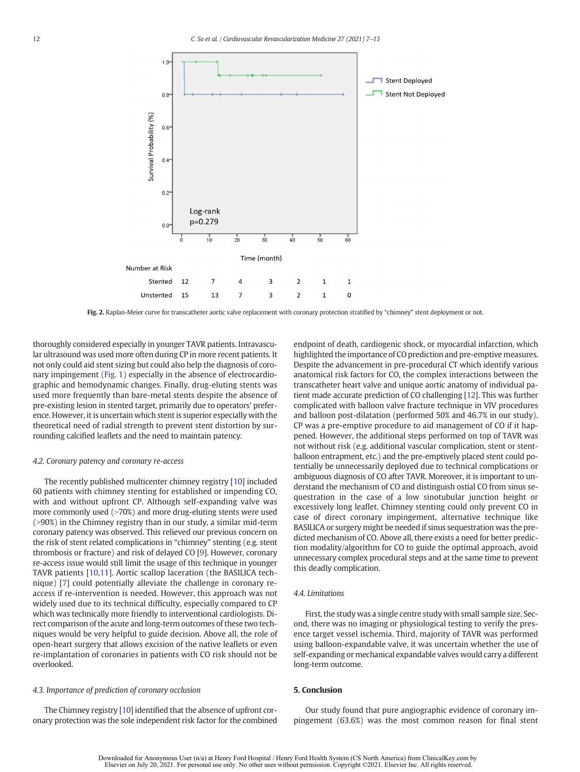<span id="page-7-0"></span>

Fig. 2. Kaplan-Meier curve for transcatheter aortic valve replacement with coronary protection stratified by "chimney" stent deployment or not.

thoroughly considered especially in younger TAVR patients. Intravascular ultrasound was used more often during CP in more recent patients. It not only could aid stent sizing but could also help the diagnosis of coronary impingement [\(Fig. 1\)](#page-3-0) especially in the absence of electrocardiographic and hemodynamic changes. Finally, drug-eluting stents was used more frequently than bare-metal stents despite the absence of pre-existing lesion in stented target, primarily due to operators' preference. However, it is uncertain which stent is superior especially with the theoretical need of radial strength to prevent stent distortion by surrounding calcified leaflets and the need to maintain patency.

#### 4.2. Coronary patency and coronary re-access

The recently published multicenter chimney registry [[10\]](#page-8-0) included 60 patients with chimney stenting for established or impending CO, with and without upfront CP. Although self-expanding valve was more commonly used  $(>70%)$  and more drug-eluting stents were used  $(>90%)$  in the Chimney registry than in our study, a similar mid-term coronary patency was observed. This relieved our previous concern on the risk of stent related complications in "chimney" stenting (e.g. stent thrombosis or fracture) and risk of delayed CO [\[9\]](#page-8-0). However, coronary re-access issue would still limit the usage of this technique in younger TAVR patients [[10,11\]](#page-8-0). Aortic scallop laceration (the BASILICA technique) [[7\]](#page-8-0) could potentially alleviate the challenge in coronary reaccess if re-intervention is needed. However, this approach was not widely used due to its technical difficulty, especially compared to CP which was technically more friendly to interventional cardiologists. Direct comparison of the acute and long-term outcomes of these two techniques would be very helpful to guide decision. Above all, the role of open-heart surgery that allows excision of the native leaflets or even re-implantation of coronaries in patients with CO risk should not be overlooked.

### 4.3. Importance of prediction of coronary occlusion

The Chimney registry [\[10](#page-8-0)] identified that the absence of upfront coronary protection was the sole independent risk factor for the combined endpoint of death, cardiogenic shock, or myocardial infarction, which highlighted the importance of CO prediction and pre-emptive measures. Despite the advancement in pre-procedural CT which identify various anatomical risk factors for CO, the complex interactions between the transcatheter heart valve and unique aortic anatomy of individual patient made accurate prediction of CO challenging [\[12](#page-8-0)]. This was further complicated with balloon valve fracture technique in VIV procedures and balloon post-dilatation (performed 50% and 46.7% in our study). CP was a pre-emptive procedure to aid management of CO if it happened. However, the additional steps performed on top of TAVR was not without risk (e.g. additional vascular complication, stent or stentballoon entrapment, etc.) and the pre-emptively placed stent could potentially be unnecessarily deployed due to technical complications or ambiguous diagnosis of CO after TAVR. Moreover, it is important to understand the mechanism of CO and distinguish ostial CO from sinus sequestration in the case of a low sinotubular junction height or excessively long leaflet. Chimney stenting could only prevent CO in case of direct coronary impingement, alternative technique like BASILICA or surgery might be needed if sinus sequestration was the predicted mechanism of CO. Above all, there exists a need for better prediction modality/algorithm for CO to guide the optimal approach, avoid unnecessary complex procedural steps and at the same time to prevent this deadly complication.

#### 4.4. Limitations

First, the study was a single centre study with small sample size. Second, there was no imaging or physiological testing to verify the presence target vessel ischemia. Third, majority of TAVR was performed using balloon-expandable valve, it was uncertain whether the use of self-expanding or mechanical expandable valves would carry a different long-term outcome.

### 5. Conclusion

Our study found that pure angiographic evidence of coronary impingement (63.6%) was the most common reason for final stent